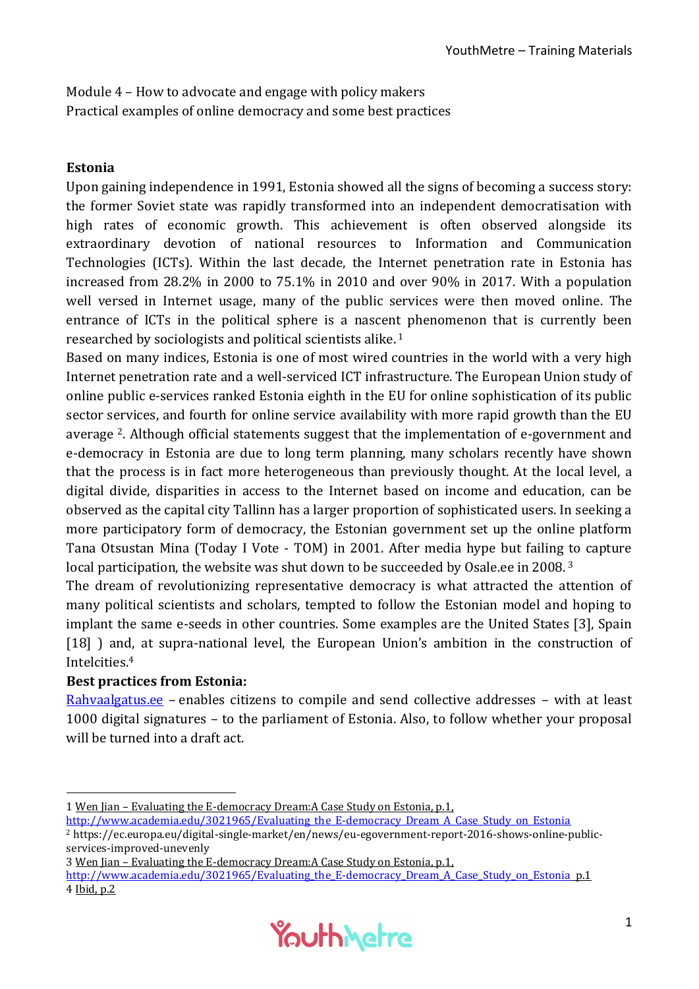Module 4 – How to advocate and engage with policy makers Practical examples of online democracy and some best practices

## **Estonia**

Upon gaining independence in 1991, Estonia showed all the signs of becoming a success story: the former Soviet state was rapidly transformed into an independent democratisation with high rates of economic growth. This achievement is often observed alongside its extraordinary devotion of national resources to Information and Communication Technologies (ICTs). Within the last decade, the Internet penetration rate in Estonia has increased from 28.2% in 2000 to 75.1% in 2010 and over 90% in 2017. With a population well versed in Internet usage, many of the public services were then moved online. The entrance of ICTs in the political sphere is a nascent phenomenon that is currently been researched by sociologists and political scientists alike. <sup>1</sup>

Based on many indices, Estonia is one of most wired countries in the world with a very high Internet penetration rate and a well-serviced ICT infrastructure. The European Union study of online public e-services ranked Estonia eighth in the EU for online sophistication of its public sector services, and fourth for online service availability with more rapid growth than the EU average 2. Although official statements suggest that the implementation of e-government and e-democracy in Estonia are due to long term planning, many scholars recently have shown that the process is in fact more heterogeneous than previously thought. At the local level, a digital divide, disparities in access to the Internet based on income and education, can be observed as the capital city Tallinn has a larger proportion of sophisticated users. In seeking a more participatory form of democracy, the Estonian government set up the online platform Tana Otsustan Mina (Today I Vote - TOM) in 2001. After media hype but failing to capture local participation, the website was shut down to be succeeded by Osale.ee in 2008.<sup>3</sup>

The dream of revolutionizing representative democracy is what attracted the attention of many political scientists and scholars, tempted to follow the Estonian model and hoping to implant the same e-seeds in other countries. Some examples are the United States [3], Spain [18] ) and, at supra-national level, the European Union's ambition in the construction of Intelcities.<sup>4</sup>

## **Best practices from Estonia:**

-

[Rahvaalgatus.ee](https://rahvaalgatus.ee/) – enables citizens to compile and send collective addresses – with at least 1000 digital signatures – to the parliament of Estonia. Also, to follow whether your proposal will be turned into a draft act.

[http://www.academia.edu/3021965/Evaluating\\_the\\_E-democracy\\_Dream\\_A\\_Case\\_Study\\_on\\_Estonia](http://www.academia.edu/3021965/Evaluating_the_E-democracy_Dream_A_Case_Study_on_Estonia) <sup>2</sup> https://ec.europa.eu/digital-single-market/en/news/eu-egovernment-report-2016-shows-online-publicservices-improved-unevenly

3 Wen Jian – Evaluating the E-democracy Dream:A Case Study on Estonia, p.1,

http://www.academia.edu/3021965/Evaluating\_the\_E-democracy\_Dream\_A\_Case\_Study\_on\_Estonia\_p.1 4 Ibid, p.2



<sup>1</sup> Wen Jian – Evaluating the E-democracy Dream:A Case Study on Estonia, p.1,